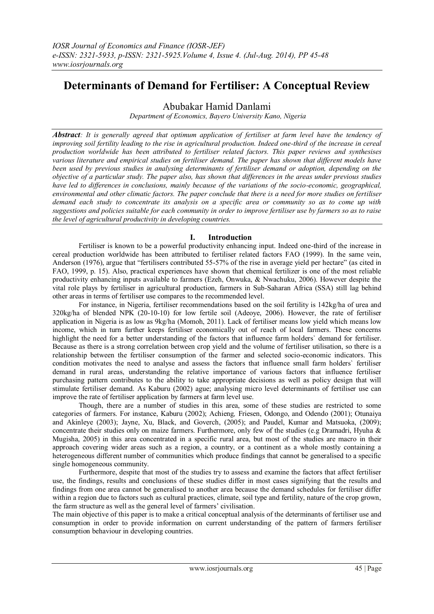# **Determinants of Demand for Fertiliser: A Conceptual Review**

Abubakar Hamid Danlami

*Department of Economics, Bayero University Kano, Nigeria*

*Abstract: It is generally agreed that optimum application of fertiliser at farm level have the tendency of improving soil fertility leading to the rise in agricultural production. Indeed one-third of the increase in cereal production worldwide has been attributed to fertiliser related factors. This paper reviews and synthesises various literature and empirical studies on fertiliser demand. The paper has shown that different models have been used by previous studies in analysing determinants of fertiliser demand or adoption, depending on the objective of a particular study. The paper also, has shown that differences in the areas under previous studies have led to differences in conclusions, mainly because of the variations of the socio-economic, geographical, environmental and other climatic factors. The paper conclude that there is a need for more studies on fertiliser demand each study to concentrate its analysis on a specific area or community so as to come up with suggestions and policies suitable for each community in order to improve fertiliser use by farmers so as to raise the level of agricultural productivity in developing countries.*

## **I. Introduction**

Fertiliser is known to be a powerful productivity enhancing input. Indeed one-third of the increase in cereal production worldwide has been attributed to fertiliser related factors FAO (1999). In the same vein, Anderson (1976), argue that "fertilisers contributed 55-57% of the rise in average yield per hectare" (as cited in FAO, 1999, p. 15). Also, practical experiences have shown that chemical fertilizer is one of the most reliable productivity enhancing inputs available to farmers (Ezeh, Onwuka, & Nwachuku, 2006). However despite the vital role plays by fertiliser in agricultural production, farmers in Sub-Saharan Africa (SSA) still lag behind other areas in terms of fertiliser use compares to the recommended level.

For instance, in Nigeria, fertiliser recommendations based on the soil fertility is 142kg/ha of urea and 320kg/ha of blended NPK (20-10-10) for low fertile soil (Adeoye, 2006). However, the rate of fertiliser application in Nigeria is as low as 9kg/ha (Momoh, 2011). Lack of fertiliser means low yield which means low income, which in turn further keeps fertiliser economically out of reach of local farmers. These concerns highlight the need for a better understanding of the factors that influence farm holders` demand for fertiliser. Because as there is a strong correlation between crop yield and the volume of fertiliser utilisation, so there is a relationship between the fertiliser consumption of the farmer and selected socio-economic indicators. This condition motivates the need to analyse and assess the factors that influence small farm holders` fertiliser demand in rural areas, understanding the relative importance of various factors that influence fertiliser purchasing pattern contributes to the ability to take appropriate decisions as well as policy design that will stimulate fertiliser demand. As Kaburu (2002) ague; analysing micro level determinants of fertiliser use can improve the rate of fertiliser application by farmers at farm level use.

Though, there are a number of studies in this area, some of these studies are restricted to some categories of farmers. For instance, Kaburu (2002); Achieng*,* Friesen, Odongo, and Odendo (2001); Otunaiya and Akinleye (2003); Jayne, Xu, Black, and Goverch, (2005); and Paudel, Kumar and Matsuoka, (2009); concentrate their studies only on maize farmers. Furthermore, only few of the studies (e.g Dramadri, Hyuha & Mugisha, 2005) in this area concentrated in a specific rural area, but most of the studies are macro in their approach covering wider areas such as a region, a country, or a continent as a whole mostly containing a heterogeneous different number of communities which produce findings that cannot be generalised to a specific single homogeneous community.

Furthermore, despite that most of the studies try to assess and examine the factors that affect fertiliser use, the findings, results and conclusions of these studies differ in most cases signifying that the results and findings from one area cannot be generalised to another area because the demand schedules for fertiliser differ within a region due to factors such as cultural practices, climate, soil type and fertility, nature of the crop grown, the farm structure as well as the general level of farmers' civilisation.

The main objective of this paper is to make a critical conceptual analysis of the determinants of fertiliser use and consumption in order to provide information on current understanding of the pattern of farmers fertiliser consumption behaviour in developing countries.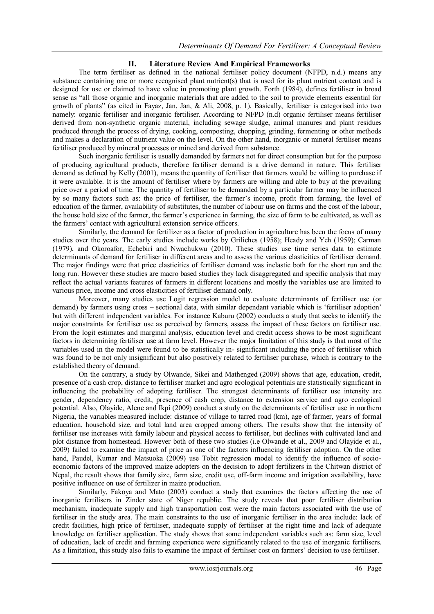### **II. Literature Review And Empirical Frameworks**

The term fertiliser as defined in the national fertiliser policy document (NFPD, n.d.) means any substance containing one or more recognised plant nutrient(s) that is used for its plant nutrient content and is designed for use or claimed to have value in promoting plant growth. Forth (1984), defines fertiliser in broad sense as "all those organic and inorganic materials that are added to the soil to provide elements essential for growth of plants" (as cited in Fayaz, Jan, Jan, & Ali, 2008, p. 1). Basically, fertiliser is categorised into two namely: organic fertiliser and inorganic fertiliser. According to NFPD (n.d) organic fertiliser means fertiliser derived from non-synthetic organic material, including sewage sludge, animal manures and plant residues produced through the process of drying, cooking, composting, chopping, grinding, fermenting or other methods and makes a declaration of nutrient value on the level. On the other hand, inorganic or mineral fertiliser means fertiliser produced by mineral processes or mined and derived from substance.

Such inorganic fertiliser is usually demanded by farmers not for direct consumption but for the purpose of producing agricultural products, therefore fertiliser demand is a drive demand in nature. This fertiliser demand as defined by Kelly (2001), means the quantity of fertiliser that farmers would be willing to purchase if it were available. It is the amount of fertiliser where by farmers are willing and able to buy at the prevailing price over a period of time. The quantity of fertiliser to be demanded by a particular farmer may be influenced by so many factors such as: the price of fertiliser, the farmer"s income, profit from farming, the level of education of the farmer, availability of substitutes, the number of labour use on farms and the cost of the labour, the house hold size of the farmer, the farmer's experience in farming, the size of farm to be cultivated, as well as the farmers" contact with agricultural extension service officers.

Similarly, the demand for fertilizer as a factor of production in agriculture has been the focus of many studies over the years. The early studies include works by Griliches (1958); Heady and Yeh (1959); Carman (1979), and Okoroafor, Echebiri and Nwachukwu (2010). These studies use time series data to estimate determinants of demand for fertiliser in different areas and to assess the various elasticities of fertiliser demand. The major findings were that price elasticities of fertiliser demand was inelastic both for the short run and the long run. However these studies are macro based studies they lack disaggregated and specific analysis that may reflect the actual variants features of farmers in different locations and mostly the variables use are limited to various price, income and cross elasticities of fertiliser demand only.

Moreover, many studies use Logit regression model to evaluate determinants of fertiliser use (or demand) by farmers using cross – sectional data, with similar dependant variable which is 'fertiliser adoption' but with different independent variables. For instance Kaburu (2002) conducts a study that seeks to identify the major constraints for fertiliser use as perceived by farmers, assess the impact of these factors on fertiliser use. From the logit estimates and marginal analysis, education level and credit access shows to be most significant factors in determining fertiliser use at farm level. However the major limitation of this study is that most of the variables used in the model were found to be statistically in- significant including the price of fertiliser which was found to be not only insignificant but also positively related to fertiliser purchase, which is contrary to the established theory of demand.

On the contrary, a study by Olwande, Sikei and Mathenged (2009) shows that age, education, credit, presence of a cash crop, distance to fertiliser market and agro ecological potentials are statistically significant in influencing the probability of adopting fertiliser. The strongest determinants of fertiliser use intensity are gender, dependency ratio, credit, presence of cash crop, distance to extension service and agro ecological potential. Also, Olayide, Alene and Ikpi (2009) conduct a study on the determinants of fertiliser use in northern Nigeria, the variables measured include: distance of village to tarred road (km), age of farmer, years of formal education, household size, and total land area cropped among others. The results show that the intensity of fertiliser use increases with family labour and physical access to fertiliser, but declines with cultivated land and plot distance from homestead. However both of these two studies (i.e Olwande et al., 2009 and Olayide et al., 2009) failed to examine the impact of price as one of the factors influencing fertiliser adoption. On the other hand, Paudel, Kumar and Matsuoka (2009) use Tobit regression model to identify the influence of socioeconomic factors of the improved maize adopters on the decision to adopt fertilizers in the Chitwan district of Nepal, the result shows that family size, farm size, credit use, off-farm income and irrigation availability, have positive influence on use of fertilizer in maize production.

Similarly, Fakoya and Mato (2003) conduct a study that examines the factors affecting the use of inorganic fertilisers in Zinder state of Niger republic. The study reveals that poor fertiliser distribution mechanism, inadequate supply and high transportation cost were the main factors associated with the use of fertiliser in the study area. The main constraints to the use of inorganic fertiliser in the area include: lack of credit facilities, high price of fertiliser, inadequate supply of fertiliser at the right time and lack of adequate knowledge on fertiliser application. The study shows that some independent variables such as: farm size, level of education, lack of credit and farming experience were significantly related to the use of inorganic fertilisers. As a limitation, this study also fails to examine the impact of fertiliser cost on farmers" decision to use fertiliser.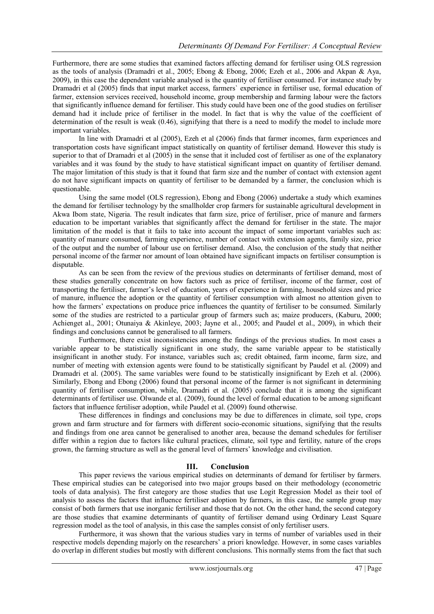Furthermore, there are some studies that examined factors affecting demand for fertiliser using OLS regression as the tools of analysis (Dramadri et al., 2005; Ebong & Ebong, 2006; Ezeh et al., 2006 and Akpan & Aya, 2009), in this case the dependent variable analysed is the quantity of fertiliser consumed. For instance study by Dramadri et al (2005) finds that input market access, farmers` experience in fertiliser use, formal education of farmer, extension services received, household income, group membership and farming labour were the factors that significantly influence demand for fertiliser. This study could have been one of the good studies on fertiliser demand had it include price of fertiliser in the model. In fact that is why the value of the coefficient of determination of the result is weak (0.46), signifying that there is a need to modify the model to include more important variables.

In line with Dramadri et al (2005), Ezeh et al (2006) finds that farmer incomes, farm experiences and transportation costs have significant impact statistically on quantity of fertiliser demand. However this study is superior to that of Dramadri et al (2005) in the sense that it included cost of fertiliser as one of the explanatory variables and it was found by the study to have statistical significant impact on quantity of fertiliser demand. The major limitation of this study is that it found that farm size and the number of contact with extension agent do not have significant impacts on quantity of fertiliser to be demanded by a farmer, the conclusion which is questionable.

Using the same model (OLS regression), Ebong and Ebong (2006) undertake a study which examines the demand for fertiliser technology by the smallholder crop farmers for sustainable agricultural development in Akwa Ibom state, Nigeria. The result indicates that farm size, price of fertiliser, price of manure and farmers education to be important variables that significantly affect the demand for fertiliser in the state. The major limitation of the model is that it fails to take into account the impact of some important variables such as: quantity of manure consumed, farming experience, number of contact with extension agents, family size, price of the output and the number of labour use on fertiliser demand. Also, the conclusion of the study that neither personal income of the farmer nor amount of loan obtained have significant impacts on fertiliser consumption is disputable.

As can be seen from the review of the previous studies on determinants of fertiliser demand, most of these studies generally concentrate on how factors such as price of fertiliser, income of the farmer, cost of transporting the fertiliser, farmer"s level of education, years of experience in farming, household sizes and price of manure, influence the adoption or the quantity of fertiliser consumption with almost no attention given to how the farmers" expectations on produce price influences the quantity of fertiliser to be consumed. Similarly some of the studies are restricted to a particular group of farmers such as; maize producers, (Kaburu, 2000; Achienget al., 2001; Otunaiya & Akinleye, 2003; Jayne et al., 2005; and Paudel et al., 2009), in which their findings and conclusions cannot be generalised to all farmers.

Furthermore, there exist inconsistencies among the findings of the previous studies. In most cases a variable appear to be statistically significant in one study, the same variable appear to be statistically insignificant in another study. For instance, variables such as; credit obtained, farm income, farm size, and number of meeting with extension agents were found to be statistically significant by Paudel et al. (2009) and Dramadri et al. (2005). The same variables were found to be statistically insignificant by Ezeh et al. (2006). Similarly, Ebong and Ebong (2006) found that personal income of the farmer is not significant in determining quantity of fertiliser consumption, while, Dramadri et al. (2005) conclude that it is among the significant determinants of fertiliser use. Olwande et al. (2009), found the level of formal education to be among significant factors that influence fertiliser adoption, while Paudel et al. (2009) found otherwise.

These differences in findings and conclusions may be due to differences in climate, soil type, crops grown and farm structure and for farmers with different socio-economic situations, signifying that the results and findings from one area cannot be generalised to another area, because the demand schedules for fertiliser differ within a region due to factors like cultural practices, climate, soil type and fertility, nature of the crops grown, the farming structure as well as the general level of farmers" knowledge and civilisation.

#### **III. Conclusion**

This paper reviews the various empirical studies on determinants of demand for fertiliser by farmers. These empirical studies can be categorised into two major groups based on their methodology (econometric tools of data analysis). The first category are those studies that use Logit Regression Model as their tool of analysis to assess the factors that influence fertiliser adoption by farmers, in this case, the sample group may consist of both farmers that use inorganic fertiliser and those that do not. On the other hand, the second category are those studies that examine determinants of quantity of fertiliser demand using Ordinary Least Square regression model as the tool of analysis, in this case the samples consist of only fertiliser users.

Furthermore, it was shown that the various studies vary in terms of number of variables used in their respective models depending majorly on the researchers" a priori knowledge. However, in some cases variables do overlap in different studies but mostly with different conclusions. This normally stems from the fact that such